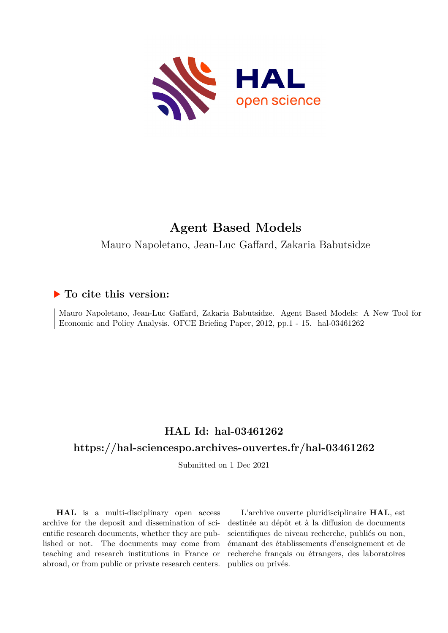

# **Agent Based Models**

Mauro Napoletano, Jean-Luc Gaffard, Zakaria Babutsidze

# **To cite this version:**

Mauro Napoletano, Jean-Luc Gaffard, Zakaria Babutsidze. Agent Based Models: A New Tool for Economic and Policy Analysis. OFCE Briefing Paper, 2012, pp.1 - 15. hal-03461262

# **HAL Id: hal-03461262**

# **<https://hal-sciencespo.archives-ouvertes.fr/hal-03461262>**

Submitted on 1 Dec 2021

**HAL** is a multi-disciplinary open access archive for the deposit and dissemination of scientific research documents, whether they are published or not. The documents may come from teaching and research institutions in France or abroad, or from public or private research centers.

L'archive ouverte pluridisciplinaire **HAL**, est destinée au dépôt et à la diffusion de documents scientifiques de niveau recherche, publiés ou non, émanant des établissements d'enseignement et de recherche français ou étrangers, des laboratoires publics ou privés.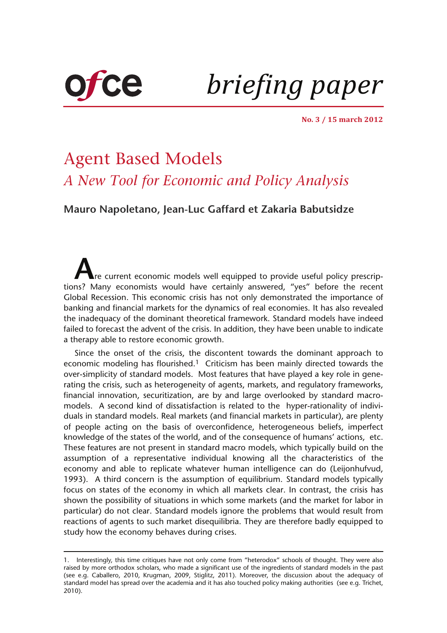

*briefing paper*

**No. 3 / 15 march 2012**

# Agent Based Models *A New Tool for Economic and Policy Analysis*

**[Mauro Napoletano, Jean-Luc Gaffard et Zakaria Babutsidze](http://www.ofce.sciences-po.fr/pages-chercheurs/home-gaffard.htm)**

**A**re current economic models well equipped to provide useful policy prescriptions? Many economists would have certainly answered, "yes" before the recent Global Recession. This economic crisis has not only demonstrated the importance of banking and financial markets for the dynamics of real economies. It has also revealed the inadequacy of the dominant theoretical framework. Standard models have indeed failed to forecast the advent of the crisis. In addition, they have been unable to indicate a therapy able to restore economic growth.

Since the onset of the crisis, the discontent towards the dominant approach to economic modeling has flourished.1 Criticism has been mainly directed towards the over-simplicity of standard models. Most features that have played a key role in generating the crisis, such as heterogeneity of agents, markets, and regulatory frameworks, financial innovation, securitization, are by and large overlooked by standard macromodels. A second kind of dissatisfaction is related to the hyper-rationality of individuals in standard models. Real markets (and financial markets in particular), are plenty of people acting on the basis of overconfidence, heterogeneous beliefs, imperfect knowledge of the states of the world, and of the consequence of humans' actions, etc. These features are not present in standard macro models, which typically build on the assumption of a representative individual knowing all the characteristics of the economy and able to replicate whatever human intelligence can do (Leijonhufvud, 1993). A third concern is the assumption of equilibrium. Standard models typically focus on states of the economy in which all markets clear. In contrast, the crisis has shown the possibility of situations in which some markets (and the market for labor in particular) do not clear. Standard models ignore the problems that would result from reactions of agents to such market disequilibria. They are therefore badly equipped to study how the economy behaves during crises.

<sup>1.</sup> Interestingly, this time critiques have not only come from "heterodox" schools of thought. They were also raised by more orthodox scholars, who made a significant use of the ingredients of standard models in the past (see e.g. Caballero, 2010, Krugman, 2009, Stiglitz, 2011). Moreover, the discussion about the adequacy of standard model has spread over the academia and it has also touched policy making authorities (see e.g. Trichet, 2010).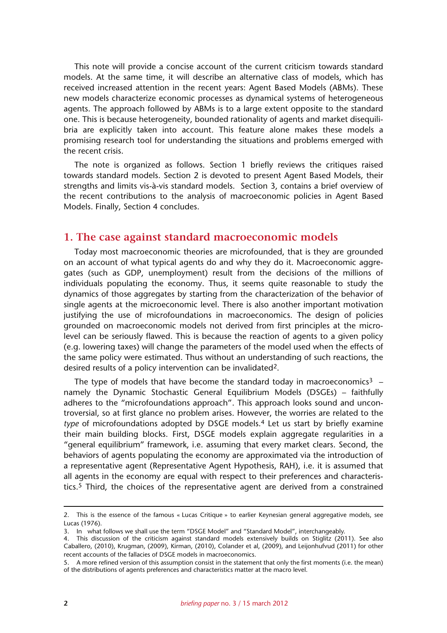This note will provide a concise account of the current criticism towards standard models. At the same time, it will describe an alternative class of models, which has received increased attention in the recent years: Agent Based Models (ABMs). These new models characterize economic processes as dynamical systems of heterogeneous agents. The approach followed by ABMs is to a large extent opposite to the standard one. This is because heterogeneity, bounded rationality of agents and market disequilibria are explicitly taken into account. This feature alone makes these models a promising research tool for understanding the situations and problems emerged with the recent crisis.

The note is organized as follows. Section 1 briefly reviews the critiques raised towards standard models. Section 2 is devoted to present Agent Based Models, their strengths and limits vis-à-vis standard models. Section 3, contains a brief overview of the recent contributions to the analysis of macroeconomic policies in Agent Based Models. Finally, Section 4 concludes.

#### **1. The case against standard macroeconomic models**

Today most macroeconomic theories are microfounded, that is they are grounded on an account of what typical agents do and why they do it. Macroeconomic aggregates (such as GDP, unemployment) result from the decisions of the millions of individuals populating the economy. Thus, it seems quite reasonable to study the dynamics of those aggregates by starting from the characterization of the behavior of single agents at the microeconomic level. There is also another important motivation justifying the use of microfoundations in macroeconomics. The design of policies grounded on macroeconomic models not derived from first principles at the microlevel can be seriously flawed. This is because the reaction of agents to a given policy (e.g. lowering taxes) will change the parameters of the model used when the effects of the same policy were estimated. Thus without an understanding of such reactions, the desired results of a policy intervention can be invalidated2.

The type of models that have become the standard today in macroeconomics<sup>3</sup> – namely the Dynamic Stochastic General Equilibrium Models (DSGEs) – faithfully adheres to the "microfoundations approach". This approach looks sound and uncontroversial, so at first glance no problem arises. However, the worries are related to the *type* of microfoundations adopted by DSGE models.4 Let us start by briefly examine their main building blocks. First, DSGE models explain aggregate regularities in a "general equilibrium" framework, i.e. assuming that every market clears. Second, the behaviors of agents populating the economy are approximated via the introduction of a representative agent (Representative Agent Hypothesis, RAH), i.e. it is assumed that all agents in the economy are equal with respect to their preferences and characteristics.5 Third, the choices of the representative agent are derived from a constrained

<sup>2.</sup> This is the essence of the famous « Lucas Critique » to earlier Keynesian general aggregative models, see Lucas (1976).

<sup>3.</sup> In what follows we shall use the term "DSGE Model" and "Standard Model", interchangeably.

<sup>4.</sup> This discussion of the criticism against standard models extensively builds on Stiglitz (2011). See also Caballero, (2010), Krugman, (2009), Kirman, (2010), Colander et al, (2009), and Leijonhufvud (2011) for other recent accounts of the fallacies of DSGE models in macroeconomics.

<sup>5.</sup> A more refined version of this assumption consist in the statement that only the first moments (i.e. the mean) of the distributions of agents preferences and characteristics matter at the macro level.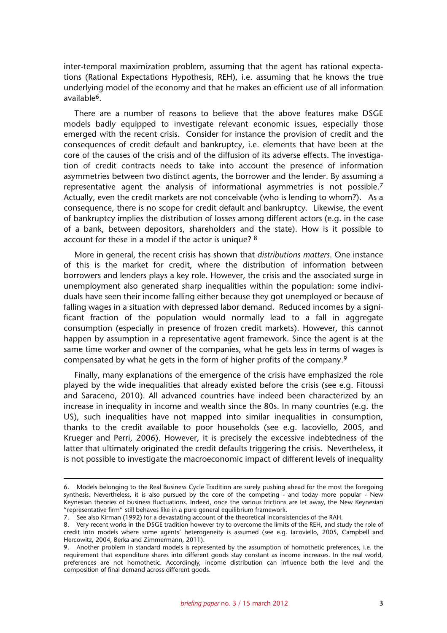inter-temporal maximization problem, assuming that the agent has rational expectations (Rational Expectations Hypothesis, REH), i.e. assuming that he knows the true underlying model of the economy and that he makes an efficient use of all information available6.

There are a number of reasons to believe that the above features make DSGE models badly equipped to investigate relevant economic issues, especially those emerged with the recent crisis. Consider for instance the provision of credit and the consequences of credit default and bankruptcy, i.e. elements that have been at the core of the causes of the crisis and of the diffusion of its adverse effects. The investigation of credit contracts needs to take into account the presence of information asymmetries between two distinct agents, the borrower and the lender. By assuming a representative agent the analysis of informational asymmetries is not possible.7 Actually, even the credit markets are not conceivable (who is lending to whom?). As a consequence, there is no scope for credit default and bankruptcy. Likewise, the event of bankruptcy implies the distribution of losses among different actors (e.g. in the case of a bank, between depositors, shareholders and the state). How is it possible to account for these in a model if the actor is unique? 8

More in general, the recent crisis has shown that *distributions matters*. One instance of this is the market for credit, where the distribution of information between borrowers and lenders plays a key role. However, the crisis and the associated surge in unemployment also generated sharp inequalities within the population: some individuals have seen their income falling either because they got unemployed or because of falling wages in a situation with depressed labor demand. Reduced incomes by a significant fraction of the population would normally lead to a fall in aggregate consumption (especially in presence of frozen credit markets). However, this cannot happen by assumption in a representative agent framework. Since the agent is at the same time worker and owner of the companies, what he gets less in terms of wages is compensated by what he gets in the form of higher profits of the company.9

Finally, many explanations of the emergence of the crisis have emphasized the role played by the wide inequalities that already existed before the crisis (see e.g. Fitoussi and Saraceno, 2010). All advanced countries have indeed been characterized by an increase in inequality in income and wealth since the 80s. In many countries (e.g. the US), such inequalities have not mapped into similar inequalities in consumption, thanks to the credit available to poor households (see e.g. Iacoviello, 2005, and Krueger and Perri, 2006). However, it is precisely the excessive indebtedness of the latter that ultimately originated the credit defaults triggering the crisis. Nevertheless, it is not possible to investigate the macroeconomic impact of different levels of inequality

<sup>6.</sup> Models belonging to the Real Business Cycle Tradition are surely pushing ahead for the most the foregoing synthesis. Nevertheless, it is also pursued by the core of the competing - and today more popular - New Keynesian theories of business fluctuations. Indeed, once the various frictions are let away, the New Keynesian "representative firm" still behaves like in a pure general equilibrium framework.

<sup>7.</sup> See also Kirman (1992) for a devastating account of the theoretical inconsistencies of the RAH.

<sup>8.</sup> Very recent works in the DSGE tradition however try to overcome the limits of the REH, and study the role of credit into models where some agents' heterogeneity is assumed (see e.g. Iacoviello, 2005, Campbell and Hercowitz, 2004, Berka and Zimmermann, 2011).

<sup>9.</sup> Another problem in standard models is represented by the assumption of homothetic preferences, i.e. the requirement that expenditure shares into different goods stay constant as income increases. In the real world, preferences are not homothetic. Accordingly, income distribution can influence both the level and the composition of final demand across different goods.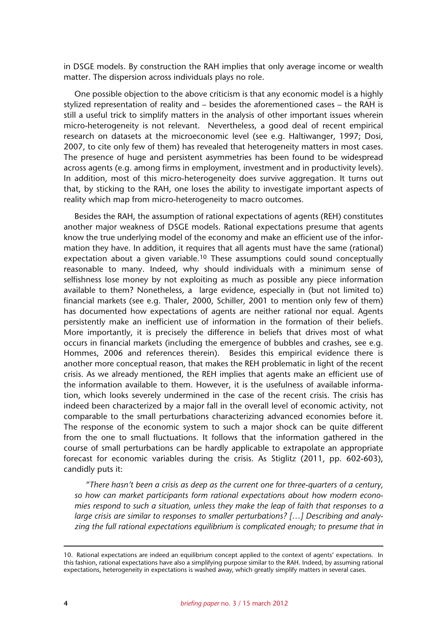in DSGE models. By construction the RAH implies that only average income or wealth matter. The dispersion across individuals plays no role.

One possible objection to the above criticism is that any economic model is a highly stylized representation of reality and – besides the aforementioned cases – the RAH is still a useful trick to simplify matters in the analysis of other important issues wherein micro-heterogeneity is not relevant. Nevertheless, a good deal of recent empirical research on datasets at the microeconomic level (see e.g. Haltiwanger, 1997; Dosi, 2007, to cite only few of them) has revealed that heterogeneity matters in most cases. The presence of huge and persistent asymmetries has been found to be widespread across agents (e.g. among firms in employment, investment and in productivity levels). In addition, most of this micro-heterogeneity does survive aggregation. It turns out that, by sticking to the RAH, one loses the ability to investigate important aspects of reality which map from micro-heterogeneity to macro outcomes.

Besides the RAH, the assumption of rational expectations of agents (REH) constitutes another major weakness of DSGE models. Rational expectations presume that agents know the true underlying model of the economy and make an efficient use of the information they have. In addition, it requires that all agents must have the same (rational) expectation about a given variable.<sup>10</sup> These assumptions could sound conceptually reasonable to many. Indeed, why should individuals with a minimum sense of selfishness lose money by not exploiting as much as possible any piece information available to them? Nonetheless, a large evidence, especially in (but not limited to) financial markets (see e.g. Thaler, 2000, Schiller, 2001 to mention only few of them) has documented how expectations of agents are neither rational nor equal. Agents persistently make an inefficient use of information in the formation of their beliefs. More importantly, it is precisely the difference in beliefs that drives most of what occurs in financial markets (including the emergence of bubbles and crashes, see e.g. Hommes, 2006 and references therein). Besides this empirical evidence there is another more conceptual reason, that makes the REH problematic in light of the recent crisis. As we already mentioned, the REH implies that agents make an efficient use of the information available to them. However, it is the usefulness of available information, which looks severely undermined in the case of the recent crisis. The crisis has indeed been characterized by a major fall in the overall level of economic activity, not comparable to the small perturbations characterizing advanced economies before it. The response of the economic system to such a major shock can be quite different from the one to small fluctuations. It follows that the information gathered in the course of small perturbations can be hardly applicable to extrapolate an appropriate forecast for economic variables during the crisis. As Stiglitz (2011, pp. 602-603), candidly puts it:

*"There hasn't been a crisis as deep as the current one for three-quarters of a century, so how can market participants form rational expectations about how modern economies respond to such a situation, unless they make the leap of faith that responses to a large crisis are similar to responses to smaller perturbations? […] Describing and analyzing the full rational expectations equilibrium is complicated enough; to presume that in*

<sup>10.</sup> Rational expectations are indeed an equilibrium concept applied to the context of agents' expectations. In this fashion, rational expectations have also a simplifying purpose similar to the RAH. Indeed, by assuming rational expectations, heterogeneity in expectations is washed away, which greatly simplify matters in several cases.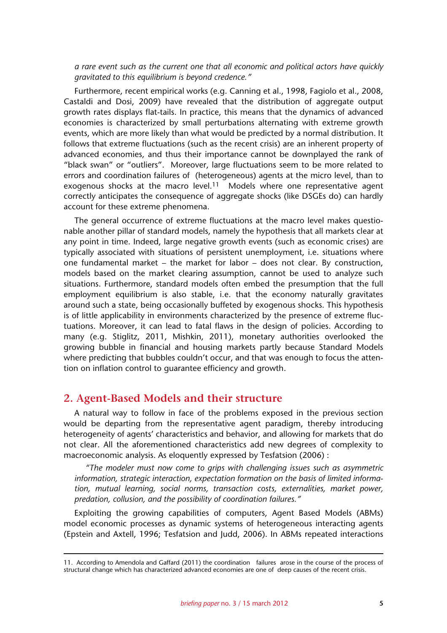*a rare event such as the current one that all economic and political actors have quickly gravitated to this equilibrium is beyond credence."* 

Furthermore, recent empirical works (e.g. Canning et al., 1998, Fagiolo et al., 2008, Castaldi and Dosi, 2009) have revealed that the distribution of aggregate output growth rates displays flat-tails. In practice, this means that the dynamics of advanced economies is characterized by small perturbations alternating with extreme growth events, which are more likely than what would be predicted by a normal distribution. It follows that extreme fluctuations (such as the recent crisis) are an inherent property of advanced economies, and thus their importance cannot be downplayed the rank of "black swan" or "outliers". Moreover, large fluctuations seem to be more related to errors and coordination failures of (heterogeneous) agents at the micro level, than to exogenous shocks at the macro level.11 Models where one representative agent correctly anticipates the consequence of aggregate shocks (like DSGEs do) can hardly account for these extreme phenomena.

The general occurrence of extreme fluctuations at the macro level makes questionable another pillar of standard models, namely the hypothesis that all markets clear at any point in time. Indeed, large negative growth events (such as economic crises) are typically associated with situations of persistent unemployment, i.e. situations where one fundamental market – the market for labor – does not clear. By construction, models based on the market clearing assumption, cannot be used to analyze such situations. Furthermore, standard models often embed the presumption that the full employment equilibrium is also stable, i.e. that the economy naturally gravitates around such a state, being occasionally buffeted by exogenous shocks. This hypothesis is of little applicability in environments characterized by the presence of extreme fluctuations. Moreover, it can lead to fatal flaws in the design of policies. According to many (e.g. Stiglitz, 2011, Mishkin, 2011), monetary authorities overlooked the growing bubble in financial and housing markets partly because Standard Models where predicting that bubbles couldn't occur, and that was enough to focus the attention on inflation control to guarantee efficiency and growth.

## **2. Agent-Based Models and their structure**

A natural way to follow in face of the problems exposed in the previous section would be departing from the representative agent paradigm, thereby introducing heterogeneity of agents' characteristics and behavior, and allowing for markets that do not clear. All the aforementioned characteristics add new degrees of complexity to macroeconomic analysis. As eloquently expressed by Tesfatsion (2006) :

*"The modeler must now come to grips with challenging issues such as asymmetric information, strategic interaction, expectation formation on the basis of limited information, mutual learning, social norms, transaction costs, externalities, market power, predation, collusion, and the possibility of coordination failures."*

Exploiting the growing capabilities of computers, Agent Based Models (ABMs) model economic processes as dynamic systems of heterogeneous interacting agents (Epstein and Axtell, 1996; Tesfatsion and Judd, 2006). In ABMs repeated interactions

<sup>11.</sup> According to Amendola and Gaffard (2011) the coordination failures arose in the course of the process of structural change which has characterized advanced economies are one of deep causes of the recent crisis.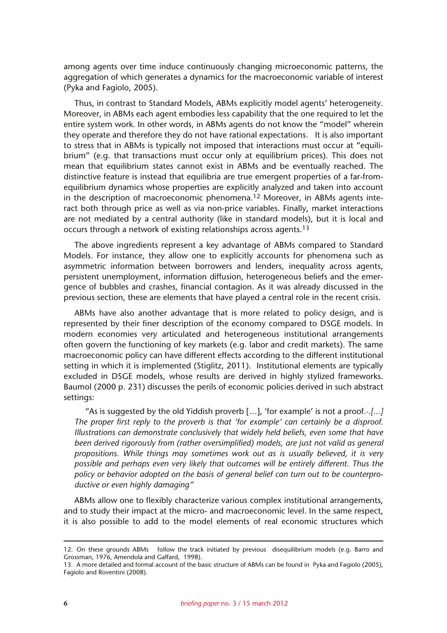among agents over time induce continuously changing microeconomic patterns, the aggregation of which generates a dynamics for the macroeconomic variable of interest (Pyka and Fagiolo, 2005).

Thus, in contrast to Standard Models, ABMs explicitly model agents' heterogeneity. Moreover, in ABMs each agent embodies less capability that the one required to let the entire system work. In other words, in ABMs agents do not know the "model" wherein they operate and therefore they do not have rational expectations. It is also important to stress that in ABMs is typically not imposed that interactions must occur at "equilibrium" (e.g. that transactions must occur only at equilibrium prices). This does not mean that equilibrium states cannot exist in ABMs and be eventually reached. The distinctive feature is instead that equilibria are true emergent properties of a far-fromequilibrium dynamics whose properties are explicitly analyzed and taken into account in the description of macroeconomic phenomena.12 Moreover, in ABMs agents interact both through price as well as via non-price variables. Finally, market interactions are not mediated by a central authority (like in standard models), but it is local and occurs through a network of existing relationships across agents.13

The above ingredients represent a key advantage of ABMs compared to Standard Models. For instance, they allow one to explicitly accounts for phenomena such as asymmetric information between borrowers and lenders, inequality across agents, persistent unemployment, information diffusion, heterogeneous beliefs and the emergence of bubbles and crashes, financial contagion. As it was already discussed in the previous section, these are elements that have played a central role in the recent crisis.

ABMs have also another advantage that is more related to policy design, and is represented by their finer description of the economy compared to DSGE models. In modern economies very articulated and heterogeneous institutional arrangements often govern the functioning of key markets (e.g. labor and credit markets). The same macroeconomic policy can have different effects according to the different institutional setting in which it is implemented (Stiglitz, 2011). Institutional elements are typically excluded in DSGE models, whose results are derived in highly stylized frameworks. Baumol (2000 p. 231) discusses the perils of economic policies derived in such abstract settings:

"As is suggested by the old Yiddish proverb […], 'for example' is not a proof*. .[...] The proper first reply to the proverb is that 'for example' can certainly be a disproof. Illustrations can demonstrate conclusively that widely held beliefs, even some that have been derived rigorously from (rather oversimplified) models, are just not valid as general propositions. While things may sometimes work out as is usually believed, it is very possible and perhaps even very likely that outcomes will be entirely different. Thus the policy or behavior adopted on the basis of general belief can turn out to be counterproductive or even highly damaging"*

ABMs allow one to flexibly characterize various complex institutional arrangements, and to study their impact at the micro- and macroeconomic level. In the same respect, it is also possible to add to the model elements of real economic structures which

<sup>12.</sup> On these grounds ABMs follow the track initiated by previous disequilibrium models (e.g. Barro and Grossman, 1976, Amendola and Gaffard, 1998).

<sup>13.</sup> A more detailed and formal account of the basic structure of ABMs can be found in Pyka and Fagiolo (2005), Fagiolo and Roventini (2008).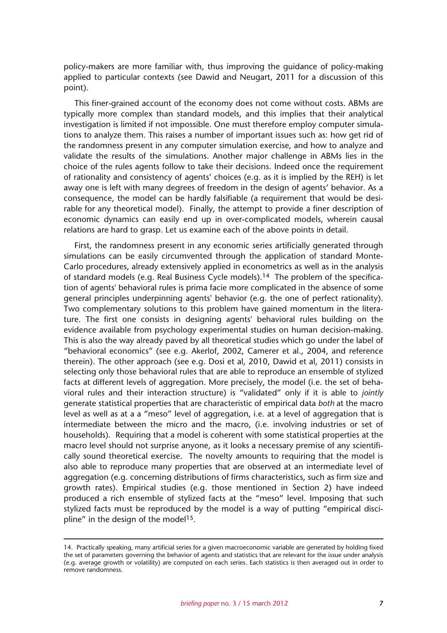policy-makers are more familiar with, thus improving the guidance of policy-making applied to particular contexts (see Dawid and Neugart, 2011 for a discussion of this point).

This finer-grained account of the economy does not come without costs. ABMs are typically more complex than standard models, and this implies that their analytical investigation is limited if not impossible. One must therefore employ computer simulations to analyze them. This raises a number of important issues such as: how get rid of the randomness present in any computer simulation exercise, and how to analyze and validate the results of the simulations. Another major challenge in ABMs lies in the choice of the rules agents follow to take their decisions. Indeed once the requirement of rationality and consistency of agents' choices (e.g. as it is implied by the REH) is let away one is left with many degrees of freedom in the design of agents' behavior. As a consequence, the model can be hardly falsifiable (a requirement that would be desirable for any theoretical model). Finally, the attempt to provide a finer description of economic dynamics can easily end up in over-complicated models, wherein causal relations are hard to grasp. Let us examine each of the above points in detail.

First, the randomness present in any economic series artificially generated through simulations can be easily circumvented through the application of standard Monte-Carlo procedures, already extensively applied in econometrics as well as in the analysis of standard models (e.g. Real Business Cycle models).14 The problem of the specification of agents' behavioral rules is prima facie more complicated in the absence of some general principles underpinning agents' behavior (e.g. the one of perfect rationality). Two complementary solutions to this problem have gained momentum in the literature. The first one consists in designing agents' behavioral rules building on the evidence available from psychology experimental studies on human decision-making. This is also the way already paved by all theoretical studies which go under the label of "behavioral economics" (see e.g. Akerlof, 2002, Camerer et al., 2004, and reference therein). The other approach (see e.g. Dosi et al, 2010, Dawid et al, 2011) consists in selecting only those behavioral rules that are able to reproduce an ensemble of stylized facts at different levels of aggregation. More precisely, the model (i.e. the set of behavioral rules and their interaction structure) is "validated" only if it is able to *jointly* generate statistical properties that are characteristic of empirical data *both* at the macro level as well as at a a "meso" level of aggregation, i.e. at a level of aggregation that is intermediate between the micro and the macro, (i.e. involving industries or set of households). Requiring that a model is coherent with some statistical properties at the macro level should not surprise anyone, as it looks a necessary premise of any scientifically sound theoretical exercise. The novelty amounts to requiring that the model is also able to reproduce many properties that are observed at an intermediate level of aggregation (e.g. concerning distributions of firms characteristics, such as firm size and growth rates). Empirical studies (e.g. those mentioned in Section 2) have indeed produced a rich ensemble of stylized facts at the "meso" level. Imposing that such stylized facts must be reproduced by the model is a way of putting "empirical discipline" in the design of the model<sup>15</sup>.

<sup>14.</sup> Practically speaking, many artificial series for a given macroeconomic variable are generated by holding fixed the set of parameters governing the behavior of agents and statistics that are relevant for the issue under analysis (e.g. average growth or volatility) are computed on each series. Each statistics is then averaged out in order to remove randomness.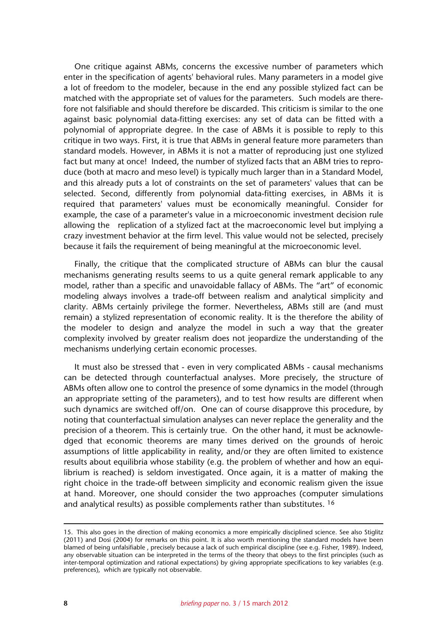One critique against ABMs, concerns the excessive number of parameters which enter in the specification of agents' behavioral rules. Many parameters in a model give a lot of freedom to the modeler, because in the end any possible stylized fact can be matched with the appropriate set of values for the parameters. Such models are therefore not falsifiable and should therefore be discarded. This criticism is similar to the one against basic polynomial data-fitting exercises: any set of data can be fitted with a polynomial of appropriate degree. In the case of ABMs it is possible to reply to this critique in two ways. First, it is true that ABMs in general feature more parameters than standard models. However, in ABMs it is not a matter of reproducing just one stylized fact but many at once! Indeed, the number of stylized facts that an ABM tries to reproduce (both at macro and meso level) is typically much larger than in a Standard Model, and this already puts a lot of constraints on the set of parameters' values that can be selected. Second, differently from polynomial data-fitting exercises, in ABMs it is required that parameters' values must be economically meaningful. Consider for example, the case of a parameter's value in a microeconomic investment decision rule allowing the replication of a stylized fact at the macroeconomic level but implying a crazy investment behavior at the firm level. This value would not be selected, precisely because it fails the requirement of being meaningful at the microeconomic level.

Finally, the critique that the complicated structure of ABMs can blur the causal mechanisms generating results seems to us a quite general remark applicable to any model, rather than a specific and unavoidable fallacy of ABMs. The "art" of economic modeling always involves a trade-off between realism and analytical simplicity and clarity. ABMs certainly privilege the former. Nevertheless, ABMs still are (and must remain) a stylized representation of economic reality. It is the therefore the ability of the modeler to design and analyze the model in such a way that the greater complexity involved by greater realism does not jeopardize the understanding of the mechanisms underlying certain economic processes.

It must also be stressed that - even in very complicated ABMs - causal mechanisms can be detected through counterfactual analyses. More precisely, the structure of ABMs often allow one to control the presence of some dynamics in the model (through an appropriate setting of the parameters), and to test how results are different when such dynamics are switched off/on. One can of course disapprove this procedure, by noting that counterfactual simulation analyses can never replace the generality and the precision of a theorem. This is certainly true. On the other hand, it must be acknowledged that economic theorems are many times derived on the grounds of heroic assumptions of little applicability in reality, and/or they are often limited to existence results about equilibria whose stability (e.g. the problem of whether and how an equilibrium is reached) is seldom investigated. Once again, it is a matter of making the right choice in the trade-off between simplicity and economic realism given the issue at hand. Moreover, one should consider the two approaches (computer simulations and analytical results) as possible complements rather than substitutes. 16

<sup>15.</sup> This also goes in the direction of making economics a more empirically disciplined science. See also Stiglitz (2011) and Dosi (2004) for remarks on this point. It is also worth mentioning the standard models have been blamed of being unfalsifiable , precisely because a lack of such empirical discipline (see e.g. Fisher, 1989). Indeed, any observable situation can be interpreted in the terms of the theory that obeys to the first principles (such as inter-temporal optimization and rational expectations) by giving appropriate specifications to key variables (e.g. preferences), which are typically not observable.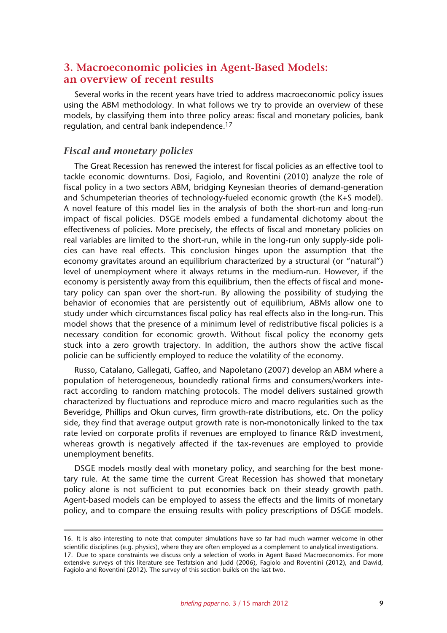# **3. Macroeconomic policies in Agent-Based Models: an overview of recent results**

Several works in the recent years have tried to address macroeconomic policy issues using the ABM methodology. In what follows we try to provide an overview of these models, by classifying them into three policy areas: fiscal and monetary policies, bank regulation, and central bank independence.17

#### *Fiscal and monetary policies*

The Great Recession has renewed the interest for fiscal policies as an effective tool to tackle economic downturns. Dosi, Fagiolo, and Roventini (2010) analyze the role of fiscal policy in a two sectors ABM, bridging Keynesian theories of demand-generation and Schumpeterian theories of technology-fueled economic growth (the K+S model). A novel feature of this model lies in the analysis of both the short-run and long-run impact of fiscal policies. DSGE models embed a fundamental dichotomy about the effectiveness of policies. More precisely, the effects of fiscal and monetary policies on real variables are limited to the short-run, while in the long-run only supply-side policies can have real effects. This conclusion hinges upon the assumption that the economy gravitates around an equilibrium characterized by a structural (or "natural") level of unemployment where it always returns in the medium-run. However, if the economy is persistently away from this equilibrium, then the effects of fiscal and monetary policy can span over the short-run. By allowing the possibility of studying the behavior of economies that are persistently out of equilibrium, ABMs allow one to study under which circumstances fiscal policy has real effects also in the long-run. This model shows that the presence of a minimum level of redistributive fiscal policies is a necessary condition for economic growth. Without fiscal policy the economy gets stuck into a zero growth trajectory. In addition, the authors show the active fiscal policie can be sufficiently employed to reduce the volatility of the economy.

Russo, Catalano, Gallegati, Gaffeo, and Napoletano (2007) develop an ABM where a population of heterogeneous, boundedly rational firms and consumers/workers interact according to random matching protocols. The model delivers sustained growth characterized by fluctuations and reproduce micro and macro regularities such as the Beveridge, Phillips and Okun curves, firm growth-rate distributions, etc. On the policy side, they find that average output growth rate is non-monotonically linked to the tax rate levied on corporate profits if revenues are employed to finance R&D investment, whereas growth is negatively affected if the tax-revenues are employed to provide unemployment benefits.

DSGE models mostly deal with monetary policy, and searching for the best monetary rule. At the same time the current Great Recession has showed that monetary policy alone is not sufficient to put economies back on their steady growth path. Agent-based models can be employed to assess the effects and the limits of monetary policy, and to compare the ensuing results with policy prescriptions of DSGE models.

<sup>16.</sup> It is also interesting to note that computer simulations have so far had much warmer welcome in other scientific disciplines (e.g. physics), where they are often employed as a complement to analytical investigations. 17. Due to space constraints we discuss only a selection of works in Agent Based Macroeconomics. For more extensive surveys of this literature see Tesfatsion and Judd (2006), Fagiolo and Roventini (2012), and Dawid,

Fagiolo and Roventini (2012). The survey of this section builds on the last two.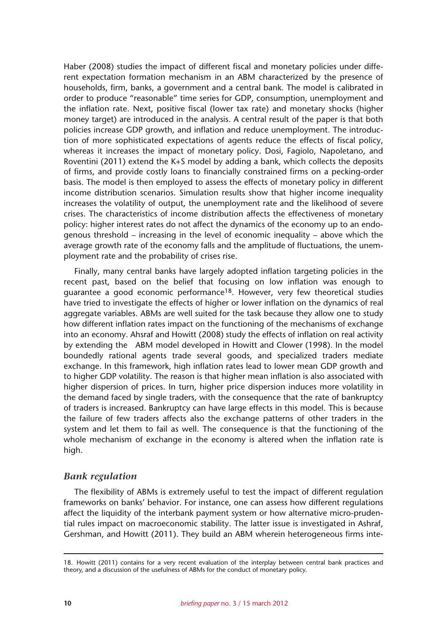Haber (2008) studies the impact of different fiscal and monetary policies under different expectation formation mechanism in an ABM characterized by the presence of households, firm, banks, a government and a central bank. The model is calibrated in order to produce "reasonable" time series for GDP, consumption, unemployment and the inflation rate. Next, positive fiscal (lower tax rate) and monetary shocks (higher money target) are introduced in the analysis. A central result of the paper is that both policies increase GDP growth, and inflation and reduce unemployment. The introduction of more sophisticated expectations of agents reduce the effects of fiscal policy, whereas it increases the impact of monetary policy. Dosi, Fagiolo, Napoletano, and Roventini (2011) extend the K+S model by adding a bank, which collects the deposits of firms, and provide costly loans to financially constrained firms on a pecking-order basis. The model is then employed to assess the effects of monetary policy in different income distribution scenarios. Simulation results show that higher income inequality increases the volatility of output, the unemployment rate and the likelihood of severe crises. The characteristics of income distribution affects the effectiveness of monetary policy: higher interest rates do not affect the dynamics of the economy up to an endogenous threshold – increasing in the level of economic inequality – above which the average growth rate of the economy falls and the amplitude of fluctuations, the unemployment rate and the probability of crises rise.

Finally, many central banks have largely adopted inflation targeting policies in the recent past, based on the belief that focusing on low inflation was enough to guarantee a good economic performance18. However, very few theoretical studies have tried to investigate the effects of higher or lower inflation on the dynamics of real aggregate variables. ABMs are well suited for the task because they allow one to study how different inflation rates impact on the functioning of the mechanisms of exchange into an economy. Ahsraf and Howitt (2008) study the effects of inflation on real activity by extending the ABM model developed in Howitt and Clower (1998). In the model boundedly rational agents trade several goods, and specialized traders mediate exchange. In this framework, high inflation rates lead to lower mean GDP growth and to higher GDP volatility. The reason is that higher mean inflation is also associated with higher dispersion of prices. In turn, higher price dispersion induces more volatility in the demand faced by single traders, with the consequence that the rate of bankruptcy of traders is increased. Bankruptcy can have large effects in this model. This is because the failure of few traders affects also the exchange patterns of other traders in the system and let them to fail as well. The consequence is that the functioning of the whole mechanism of exchange in the economy is altered when the inflation rate is high.

### *Bank regulation*

The flexibility of ABMs is extremely useful to test the impact of different regulation frameworks on banks' behavior. For instance, one can assess how different regulations affect the liquidity of the interbank payment system or how alternative micro-prudential rules impact on macroeconomic stability. The latter issue is investigated in Ashraf, Gershman, and Howitt (2011). They build an ABM wherein heterogeneous firms inte-

<sup>18.</sup> Howitt (2011) contains for a very recent evaluation of the interplay between central bank practices and theory, and a discussion of the usefulness of ABMs for the conduct of monetary policy.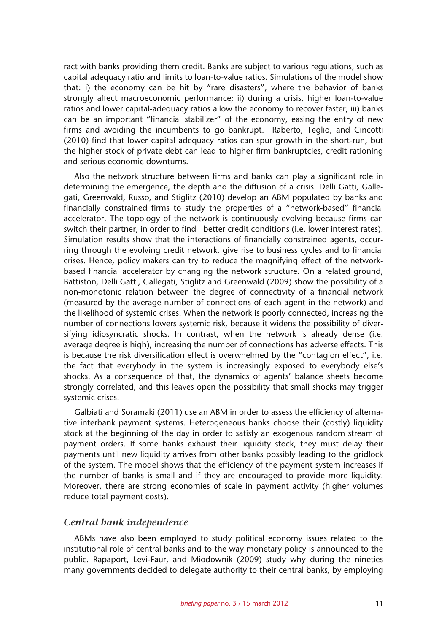ract with banks providing them credit. Banks are subject to various regulations, such as capital adequacy ratio and limits to loan-to-value ratios. Simulations of the model show that: i) the economy can be hit by "rare disasters", where the behavior of banks strongly affect macroeconomic performance; ii) during a crisis, higher loan-to-value ratios and lower capital-adequacy ratios allow the economy to recover faster; iii) banks can be an important "financial stabilizer" of the economy, easing the entry of new firms and avoiding the incumbents to go bankrupt. Raberto, Teglio, and Cincotti (2010) find that lower capital adequacy ratios can spur growth in the short-run, but the higher stock of private debt can lead to higher firm bankruptcies, credit rationing and serious economic downturns.

Also the network structure between firms and banks can play a significant role in determining the emergence, the depth and the diffusion of a crisis. Delli Gatti, Gallegati, Greenwald, Russo, and Stiglitz (2010) develop an ABM populated by banks and financially constrained firms to study the properties of a "network-based" financial accelerator. The topology of the network is continuously evolving because firms can switch their partner, in order to find better credit conditions (i.e. lower interest rates). Simulation results show that the interactions of financially constrained agents, occurring through the evolving credit network, give rise to business cycles and to financial crises. Hence, policy makers can try to reduce the magnifying effect of the networkbased financial accelerator by changing the network structure. On a related ground, Battiston, Delli Gatti, Gallegati, Stiglitz and Greenwald (2009) show the possibility of a non-monotonic relation between the degree of connectivity of a financial network (measured by the average number of connections of each agent in the network) and the likelihood of systemic crises. When the network is poorly connected, increasing the number of connections lowers systemic risk, because it widens the possibility of diversifying idiosyncratic shocks. In contrast, when the network is already dense (i.e. average degree is high), increasing the number of connections has adverse effects. This is because the risk diversification effect is overwhelmed by the "contagion effect", i.e. the fact that everybody in the system is increasingly exposed to everybody else's shocks. As a consequence of that, the dynamics of agents' balance sheets become strongly correlated, and this leaves open the possibility that small shocks may trigger systemic crises.

Galbiati and Soramaki (2011) use an ABM in order to assess the efficiency of alternative interbank payment systems. Heterogeneous banks choose their (costly) liquidity stock at the beginning of the day in order to satisfy an exogenous random stream of payment orders. If some banks exhaust their liquidity stock, they must delay their payments until new liquidity arrives from other banks possibly leading to the gridlock of the system. The model shows that the efficiency of the payment system increases if the number of banks is small and if they are encouraged to provide more liquidity. Moreover, there are strong economies of scale in payment activity (higher volumes reduce total payment costs).

#### *Central bank independence*

ABMs have also been employed to study political economy issues related to the institutional role of central banks and to the way monetary policy is announced to the public. Rapaport, Levi-Faur, and Miodownik (2009) study why during the nineties many governments decided to delegate authority to their central banks, by employing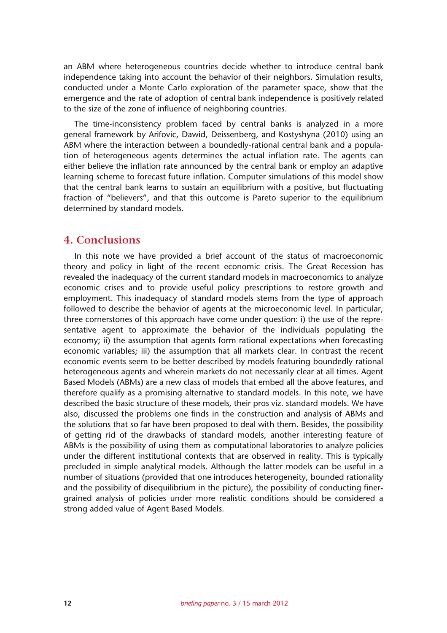an ABM where heterogeneous countries decide whether to introduce central bank independence taking into account the behavior of their neighbors. Simulation results, conducted under a Monte Carlo exploration of the parameter space, show that the emergence and the rate of adoption of central bank independence is positively related to the size of the zone of influence of neighboring countries.

The time-inconsistency problem faced by central banks is analyzed in a more general framework by Arifovic, Dawid, Deissenberg, and Kostyshyna (2010) using an ABM where the interaction between a boundedly-rational central bank and a population of heterogeneous agents determines the actual inflation rate. The agents can either believe the inflation rate announced by the central bank or employ an adaptive learning scheme to forecast future inflation. Computer simulations of this model show that the central bank learns to sustain an equilibrium with a positive, but fluctuating fraction of "believers", and that this outcome is Pareto superior to the equilibrium determined by standard models.

### **4. Conclusions**

In this note we have provided a brief account of the status of macroeconomic theory and policy in light of the recent economic crisis. The Great Recession has revealed the inadequacy of the current standard models in macroeconomics to analyze economic crises and to provide useful policy prescriptions to restore growth and employment. This inadequacy of standard models stems from the type of approach followed to describe the behavior of agents at the microeconomic level. In particular, three cornerstones of this approach have come under question: i) the use of the representative agent to approximate the behavior of the individuals populating the economy; ii) the assumption that agents form rational expectations when forecasting economic variables; iii) the assumption that all markets clear. In contrast the recent economic events seem to be better described by models featuring boundedly rational heterogeneous agents and wherein markets do not necessarily clear at all times. Agent Based Models (ABMs) are a new class of models that embed all the above features, and therefore qualify as a promising alternative to standard models. In this note, we have described the basic structure of these models, their pros viz. standard models. We have also, discussed the problems one finds in the construction and analysis of ABMs and the solutions that so far have been proposed to deal with them. Besides, the possibility of getting rid of the drawbacks of standard models, another interesting feature of ABMs is the possibility of using them as computational laboratories to analyze policies under the different institutional contexts that are observed in reality. This is typically precluded in simple analytical models. Although the latter models can be useful in a number of situations (provided that one introduces heterogeneity, bounded rationality and the possibility of disequilibrium in the picture), the possibility of conducting finergrained analysis of policies under more realistic conditions should be considered a strong added value of Agent Based Models.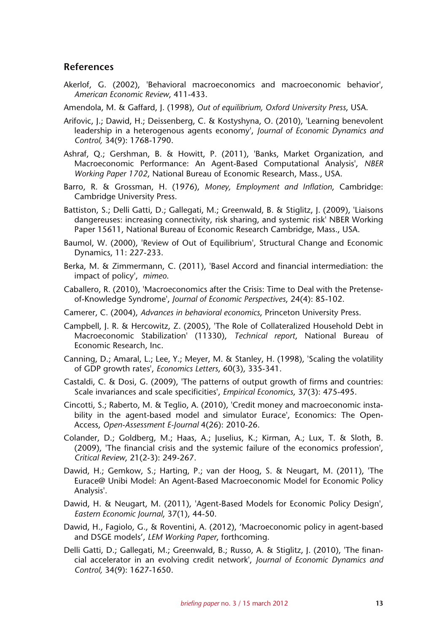### **References**

- Akerlof, G. (2002), 'Behavioral macroeconomics and macroeconomic behavior', *American Economic Review*, 411-433.
- Amendola, M. & Gaffard, J. (1998), *Out of equilibrium, Oxford University Press*, USA.
- Arifovic, J.; Dawid, H.; Deissenberg, C. & Kostyshyna, O. (2010), 'Learning benevolent leadership in a heterogenous agents economy', *Journal of Economic Dynamics and Control,* 34(9): 1768-1790.
- Ashraf, Q.; Gershman, B. & Howitt, P. (2011), 'Banks, Market Organization, and Macroeconomic Performance: An Agent-Based Computational Analysis', *NBER Working Paper 1702*, National Bureau of Economic Research, Mass., USA.
- Barro, R. & Grossman, H. (1976), *Money, Employment and Inflation*, Cambridge: Cambridge University Press.
- Battiston, S.; Delli Gatti, D.; Gallegati, M.; Greenwald, B. & Stiglitz, J. (2009), 'Liaisons dangereuses: increasing connectivity, risk sharing, and systemic risk' NBER Working Paper 15611, National Bureau of Economic Research Cambridge, Mass., USA.
- Baumol, W. (2000), 'Review of Out of Equilibrium', Structural Change and Economic Dynamics, 11: 227-233.
- Berka, M. & Zimmermann, C. (2011), 'Basel Accord and financial intermediation: the impact of policy', *mimeo*.
- Caballero, R. (2010), 'Macroeconomics after the Crisis: Time to Deal with the Pretenseof-Knowledge Syndrome', *Journal of Economic Perspectives*, 24(4): 85-102.
- Camerer, C. (2004), *Advances in behavioral economics*, Princeton University Press.
- Campbell, J. R. & Hercowitz, Z. (2005), 'The Role of Collateralized Household Debt in Macroeconomic Stabilization' (11330), *Technical report*, National Bureau of Economic Research, Inc.
- Canning, D.; Amaral, L.; Lee, Y.; Meyer, M. & Stanley, H. (1998), 'Scaling the volatility of GDP growth rates', *Economics Letters*, 60(3), 335-341.
- Castaldi, C. & Dosi, G. (2009), 'The patterns of output growth of firms and countries: Scale invariances and scale specificities', *Empirical Economics*, 37(3): 475-495.
- Cincotti, S.; Raberto, M. & Teglio, A. (2010), 'Credit money and macroeconomic instability in the agent-based model and simulator Eurace', Economics: The Open-Access, *Open-Assessment E-Journal* 4(26): 2010-26.
- Colander, D.; Goldberg, M.; Haas, A.; Juselius, K.; Kirman, A.; Lux, T. & Sloth, B. (2009), 'The financial crisis and the systemic failure of the economics profession', *Critical Review*, 21(2-3): 249-267.
- Dawid, H.; Gemkow, S.; Harting, P.; van der Hoog, S. & Neugart, M. (2011), 'The Eurace@ Unibi Model: An Agent-Based Macroeconomic Model for Economic Policy Analysis'.
- Dawid, H. & Neugart, M. (2011), 'Agent-Based Models for Economic Policy Design', *Eastern Economic Journal*, 37(1), 44-50.
- Dawid, H., Fagiolo, G., & Roventini, A. (2012), 'Macroeconomic policy in agent-based and DSGE models', *LEM Working Paper*, forthcoming.
- Delli Gatti, D.; Gallegati, M.; Greenwald, B.; Russo, A. & Stiglitz, J. (2010), 'The financial accelerator in an evolving credit network', *Journal of Economic Dynamics and Control,* 34(9): 1627-1650.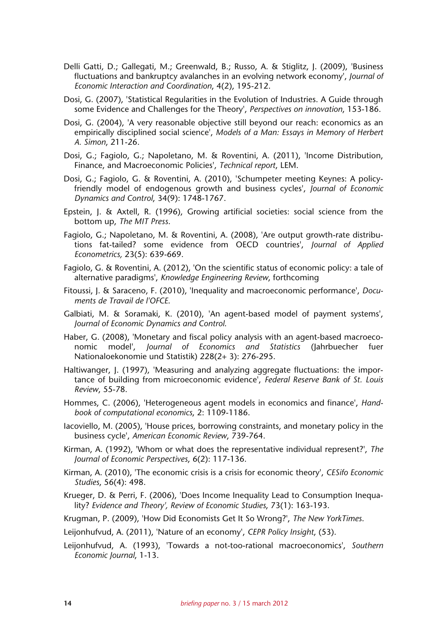- Delli Gatti, D.; Gallegati, M.; Greenwald, B.; Russo, A. & Stiglitz, J. (2009), 'Business fluctuations and bankruptcy avalanches in an evolving network economy', *Journal of Economic Interaction and Coordination*, 4(2), 195-212.
- Dosi, G. (2007), 'Statistical Regularities in the Evolution of Industries. A Guide through some Evidence and Challenges for the Theory', *Perspectives on innovation*, 153-186.
- Dosi, G. (2004), 'A very reasonable objective still beyond our reach: economics as an empirically disciplined social science', *Models of a Man: Essays in Memory of Herbert A. Simon*, 211-26.
- Dosi, G.; Fagiolo, G.; Napoletano, M. & Roventini, A. (2011), 'Income Distribution, Finance, and Macroeconomic Policies', *Technical report*, LEM.
- Dosi, G.; Fagiolo, G. & Roventini, A. (2010), 'Schumpeter meeting Keynes: A policyfriendly model of endogenous growth and business cycles', *Journal of Economic Dynamics and Control*, 34(9): 1748-1767.
- Epstein, J. & Axtell, R. (1996), Growing artificial societies: social science from the bottom up, *The MIT Press*.
- Fagiolo, G.; Napoletano, M. & Roventini, A. (2008), 'Are output growth-rate distributions fat-tailed? some evidence from OECD countries', *Journal of Applied Econometrics,* 23(5): 639-669.
- Fagiolo, G. & Roventini, A. (2012), 'On the scientific status of economic policy: a tale of alternative paradigms', *Knowledge Engineering Review*, forthcoming
- Fitoussi, J. & Saraceno, F. (2010), 'Inequality and macroeconomic performance', *Documents de Travail de l'OFCE*.
- Galbiati, M. & Soramaki, K. (2010), 'An agent-based model of payment systems', *Journal of Economic Dynamics and Control*.
- Haber, G. (2008), 'Monetary and fiscal policy analysis with an agent-based macroeconomic model', *Journal of Economics and Statistics* (Jahrbuecher fuer Nationaloekonomie und Statistik) 228(2+ 3): 276-295.
- Haltiwanger, J. (1997), 'Measuring and analyzing aggregate fluctuations: the importance of building from microeconomic evidence', *Federal Reserve Bank of St. Louis Review*, 55-78.
- Hommes, C. (2006), 'Heterogeneous agent models in economics and finance', *Handbook of computational economics*, 2: 1109-1186.
- Iacoviello, M. (2005), 'House prices, borrowing constraints, and monetary policy in the business cycle', *American Economic Review*, 739-764.
- Kirman, A. (1992), 'Whom or what does the representative individual represent?', *The Journal of Economic Perspectives*, 6(2): 117-136.
- Kirman, A. (2010), 'The economic crisis is a crisis for economic theory', *CESifo Economic Studies*, 56(4): 498.
- Krueger, D. & Perri, F. (2006), 'Does Income Inequality Lead to Consumption Inequality? *Evidence and Theory', Review of Economic Studies*, 73(1): 163-193.

Krugman, P. (2009), 'How Did Economists Get It So Wrong?', *The New YorkTimes*.

- Leijonhufvud, A. (2011), 'Nature of an economy', *CEPR Policy Insight*, (53).
- Leijonhufvud, A. (1993), 'Towards a not-too-rational macroeconomics', *Southern Economic Journal*, 1-13.